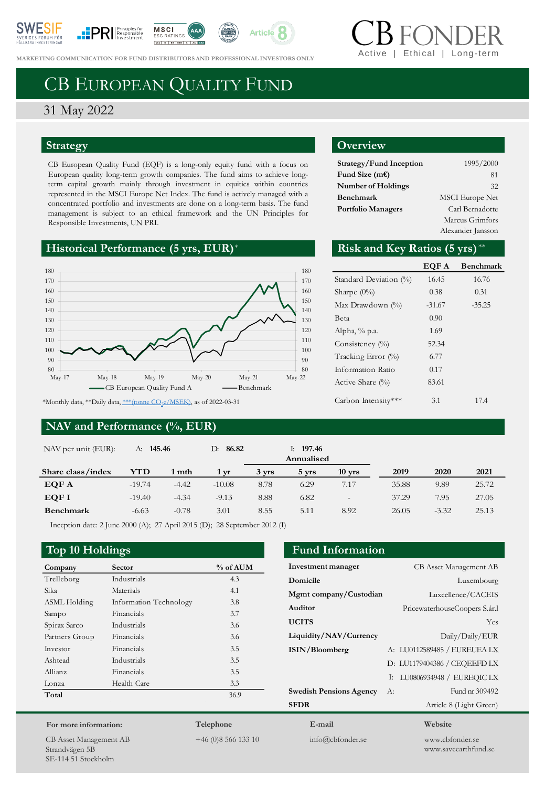







**MARKETING COMMUNICATION FOR FUND DISTRIBUTORS AND PROFESSIONAL INVESTORS ONLY** 

# CB EUROPEAN QUALITY FUND

# 31 May 2022

# **Strategy**

CB European Quality Fund (EQF) is a long-only equity fund with a focus on European quality long-term growth companies. The fund aims to achieve longterm capital growth mainly through investment in equities within countries represented in the MSCI Europe Net Index. The fund is actively managed with a concentrated portfolio and investments are done on a long-term basis. The fund management is subject to an ethical framework and the UN Principles for Responsible Investments, UN PRI.

# **Historical Performance (5 yrs, EUR)**<sup>\*</sup>



# **NAV and Performance (%, EUR)**

## **Overview**

| Strategy/Fund Inception   | 1995/2000              |  |
|---------------------------|------------------------|--|
| Fund Size $(mE)$          | 81                     |  |
| <b>Number of Holdings</b> | 32                     |  |
| Benchmark                 | <b>MSCI</b> Europe Net |  |
| <b>Portfolio Managers</b> | Carl Bernadotte        |  |
|                           | Marcus Grimfors        |  |
|                           | Alexander Jansson      |  |

Ethical | Long-tern

## Risk and Key Ratios (5 yrs)\*\*

|                        | EQF A    | <b>Benchmark</b> |
|------------------------|----------|------------------|
| Standard Deviation (%) | 16.45    | 16.76            |
| Sharpe $(0\%)$         | 0.38     | 0.31             |
| Max Drawdown $(\% )$   | $-31.67$ | $-35.25$         |
| Beta                   | 0.90     |                  |
| Alpha, $\%$ p.a.       | 1.69     |                  |
| Consistency $(\%)$     | 52.34    |                  |
| Tracking Error (%)     | 6.77     |                  |
| Information Ratio      | 0.17     |                  |
| Active Share $(\%)$    | 83.61    |                  |
| Carbon Intensity***    | 3.1      | 174              |

| NAV per unit (EUR): | A: <b>145.46</b> |         | 86.82<br>D: |       | 197.46<br>Ŀ.<br>Annualised |                          |       |         |       |
|---------------------|------------------|---------|-------------|-------|----------------------------|--------------------------|-------|---------|-------|
| Share class/index   | YTD              | 1 mth   | 1 yr        | 3 vrs | 5 yrs                      | $10$ yrs                 | 2019  | 2020    | 2021  |
| EQF A               | $-19.74$         | $-4.42$ | $-10.08$    | 8.78  | 6.29                       | 7.17                     | 35.88 | 9.89    | 25.72 |
| EQF I               | $-19.40$         | $-4.34$ | $-9.13$     | 8.88  | 6.82                       | $\overline{\phantom{a}}$ | 37.29 | 7.95    | 27.05 |
| <b>Benchmark</b>    | $-6.63$          | $-0.78$ | 3.01        | 8.55  | 5.11                       | 8.92                     | 26.05 | $-3.32$ | 25.13 |

Inception date: 2 June 2000 (A); 27 April 2015 (D); 28 September 2012 (I)

## **Top 10 Holdings Fund Information**

| Company        | <b>Sector</b>          | % of AUM |
|----------------|------------------------|----------|
| Trelleborg     | Industrials            | 4.3      |
| Sika           | Materials              | 4.1      |
| ASML Holding   | Information Technology | 3.8      |
| Sampo          | Financials             | 3.7      |
| Spirax Sarco   | Industrials            | 3.6      |
| Partners Group | Financials             | 3.6      |
| Investor       | Financials             | 3.5      |
| Ashtead        | Industrials            | 3.5      |
| Allianz        | Financials             | 3.5      |
| Lonza          | Health Care            | 3.3      |
| Total          |                        | 36.9     |

#### **For more information:**

CB Asset Management AB Strandvägen 5B SE-114 51 Stockholm

**Telephone**

+46 (0)8 566 133 10

**Investment manager** CB Asset Management AB

| Domicile                       | Luxembourg                      |
|--------------------------------|---------------------------------|
| Mgmt company/Custodian         | Luxcellence/CACEIS              |
| Auditor                        | PricewaterhouseCoopers S.ár.l   |
| <b>UCITS</b>                   | Yes                             |
| Liquidity/NAV/Currency         | Daily/Daily/EUR                 |
| ISIN/Bloomberg                 | A: LU0112589485 / EUREUEA LX    |
|                                | D: LU1179404386 / CEQEEFD LX    |
|                                | LU0806934948 / EUREOIC LX<br>I: |
| <b>Swedish Pensions Agency</b> | Fund nr 309492<br>A:            |
| <b>SFDR</b>                    | Article 8 (Light Green)         |
| E-mail                         | Website                         |
| $info(a)$ cbfonder.se          | www.chfonder.se                 |

www.saveearthfund.se